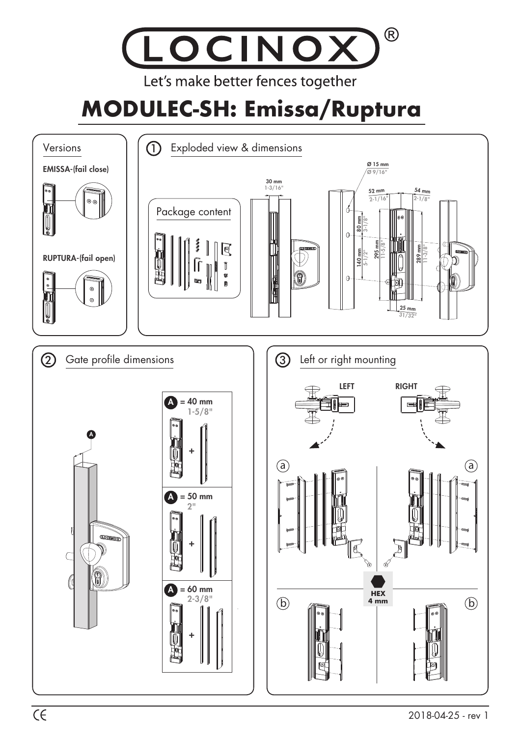## $\circledR$ LOCINOX Let's make better fences together

## **MODULEC-SH: Emissa/Ruptura**